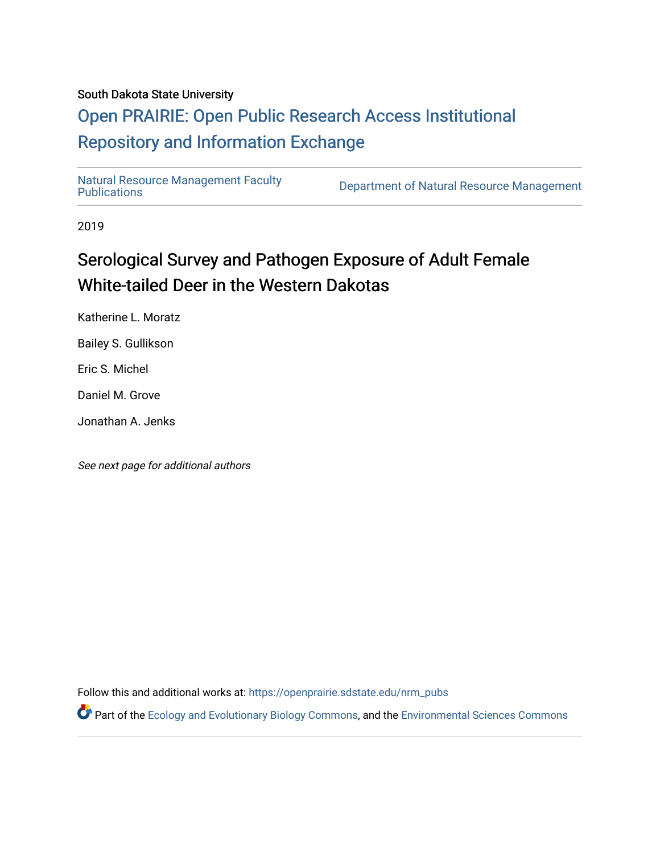### South Dakota State University

## [Open PRAIRIE: Open Public Research Access Institutional](https://openprairie.sdstate.edu/)  [Repository and Information Exchange](https://openprairie.sdstate.edu/)

[Natural Resource Management Faculty](https://openprairie.sdstate.edu/nrm_pubs) 

Department of Natural Resource Management

2019

# Serological Survey and Pathogen Exposure of Adult Female White-tailed Deer in the Western Dakotas

Katherine L. Moratz

Bailey S. Gullikson

Eric S. Michel

Daniel M. Grove

Jonathan A. Jenks

See next page for additional authors

Follow this and additional works at: [https://openprairie.sdstate.edu/nrm\\_pubs](https://openprairie.sdstate.edu/nrm_pubs?utm_source=openprairie.sdstate.edu%2Fnrm_pubs%2F300&utm_medium=PDF&utm_campaign=PDFCoverPages)

Part of the [Ecology and Evolutionary Biology Commons](http://network.bepress.com/hgg/discipline/14?utm_source=openprairie.sdstate.edu%2Fnrm_pubs%2F300&utm_medium=PDF&utm_campaign=PDFCoverPages), and the [Environmental Sciences Commons](http://network.bepress.com/hgg/discipline/167?utm_source=openprairie.sdstate.edu%2Fnrm_pubs%2F300&utm_medium=PDF&utm_campaign=PDFCoverPages)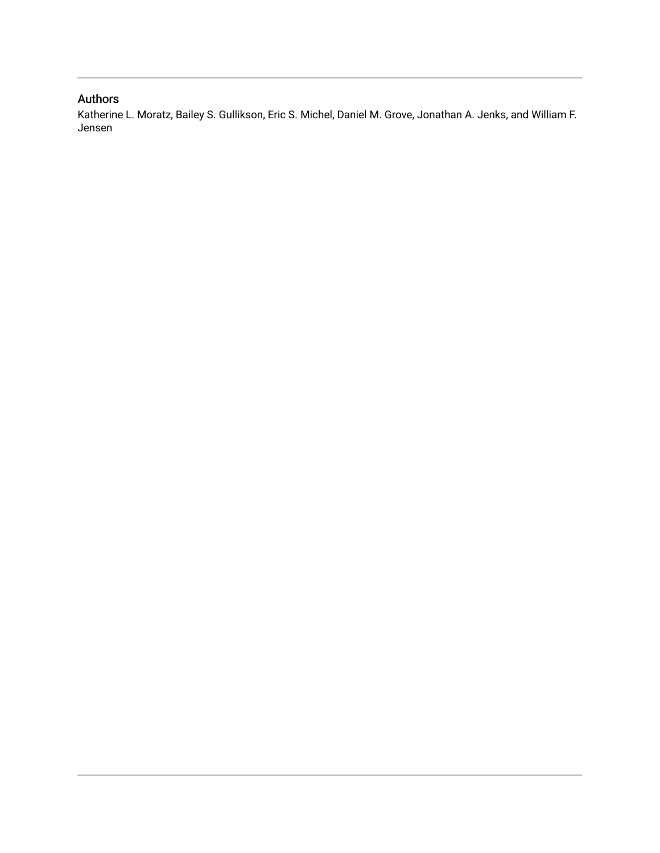## Authors

Katherine L. Moratz, Bailey S. Gullikson, Eric S. Michel, Daniel M. Grove, Jonathan A. Jenks, and William F. Jensen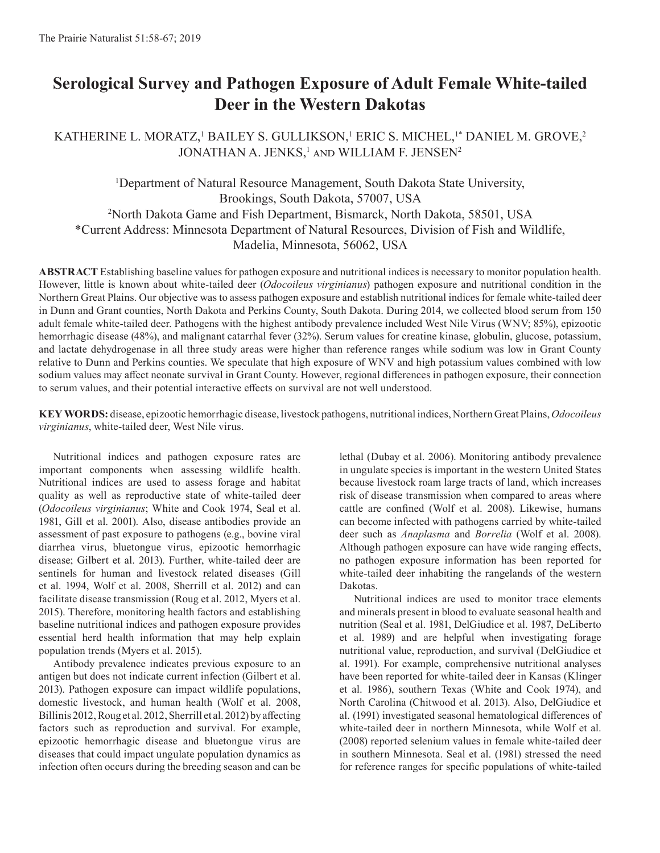## **Serological Survey and Pathogen Exposure of Adult Female White-tailed Deer in the Western Dakotas**

### KATHERINE L. MORATZ,<sup>1</sup> BAILEY S. GULLIKSON,<sup>1</sup> ERIC S. MICHEL,<sup>1\*</sup> DANIEL M. GROVE,<sup>2</sup> JONATHAN A. JENKS,<sup>1</sup> and WILLIAM F. JENSEN<sup>2</sup>

<sup>1</sup>Department of Natural Resource Management, South Dakota State University, Brookings, South Dakota, 57007, USA 2 North Dakota Game and Fish Department, Bismarck, North Dakota, 58501, USA \*Current Address: Minnesota Department of Natural Resources, Division of Fish and Wildlife, Madelia, Minnesota, 56062, USA

**ABSTRACT** Establishing baseline values for pathogen exposure and nutritional indices is necessary to monitor population health. However, little is known about white-tailed deer (*Odocoileus virginianus*) pathogen exposure and nutritional condition in the Northern Great Plains. Our objective was to assess pathogen exposure and establish nutritional indices for female white-tailed deer in Dunn and Grant counties, North Dakota and Perkins County, South Dakota. During 2014, we collected blood serum from 150 adult female white-tailed deer. Pathogens with the highest antibody prevalence included West Nile Virus (WNV; 85%), epizootic hemorrhagic disease (48%), and malignant catarrhal fever (32%). Serum values for creatine kinase, globulin, glucose, potassium, and lactate dehydrogenase in all three study areas were higher than reference ranges while sodium was low in Grant County relative to Dunn and Perkins counties. We speculate that high exposure of WNV and high potassium values combined with low sodium values may affect neonate survival in Grant County. However, regional differences in pathogen exposure, their connection to serum values, and their potential interactive effects on survival are not well understood.

**KEY WORDS:** disease, epizootic hemorrhagic disease, livestock pathogens, nutritional indices, Northern Great Plains, *Odocoileus virginianus*, white-tailed deer, West Nile virus.

Nutritional indices and pathogen exposure rates are important components when assessing wildlife health. Nutritional indices are used to assess forage and habitat quality as well as reproductive state of white-tailed deer (*Odocoileus virginianus*; White and Cook 1974, Seal et al. 1981, Gill et al. 2001). Also, disease antibodies provide an assessment of past exposure to pathogens (e.g., bovine viral diarrhea virus, bluetongue virus, epizootic hemorrhagic disease; Gilbert et al. 2013). Further, white-tailed deer are sentinels for human and livestock related diseases (Gill et al. 1994, Wolf et al. 2008, Sherrill et al. 2012) and can facilitate disease transmission (Roug et al. 2012, Myers et al. 2015). Therefore, monitoring health factors and establishing baseline nutritional indices and pathogen exposure provides essential herd health information that may help explain population trends (Myers et al. 2015).

Antibody prevalence indicates previous exposure to an antigen but does not indicate current infection (Gilbert et al. 2013). Pathogen exposure can impact wildlife populations, domestic livestock, and human health (Wolf et al. 2008, Billinis 2012, Roug et al. 2012, Sherrill et al. 2012) by affecting factors such as reproduction and survival. For example, epizootic hemorrhagic disease and bluetongue virus are diseases that could impact ungulate population dynamics as infection often occurs during the breeding season and can be lethal (Dubay et al. 2006). Monitoring antibody prevalence in ungulate species is important in the western United States because livestock roam large tracts of land, which increases risk of disease transmission when compared to areas where cattle are confined (Wolf et al. 2008). Likewise, humans can become infected with pathogens carried by white-tailed deer such as *Anaplasma* and *Borrelia* (Wolf et al. 2008). Although pathogen exposure can have wide ranging effects, no pathogen exposure information has been reported for white-tailed deer inhabiting the rangelands of the western Dakotas.

Nutritional indices are used to monitor trace elements and minerals present in blood to evaluate seasonal health and nutrition (Seal et al. 1981, DelGiudice et al. 1987, DeLiberto et al. 1989) and are helpful when investigating forage nutritional value, reproduction, and survival (DelGiudice et al. 1991). For example, comprehensive nutritional analyses have been reported for white-tailed deer in Kansas (Klinger et al. 1986), southern Texas (White and Cook 1974), and North Carolina (Chitwood et al. 2013). Also, DelGiudice et al. (1991) investigated seasonal hematological differences of white-tailed deer in northern Minnesota, while Wolf et al. (2008) reported selenium values in female white-tailed deer in southern Minnesota. Seal et al. (1981) stressed the need for reference ranges for specific populations of white-tailed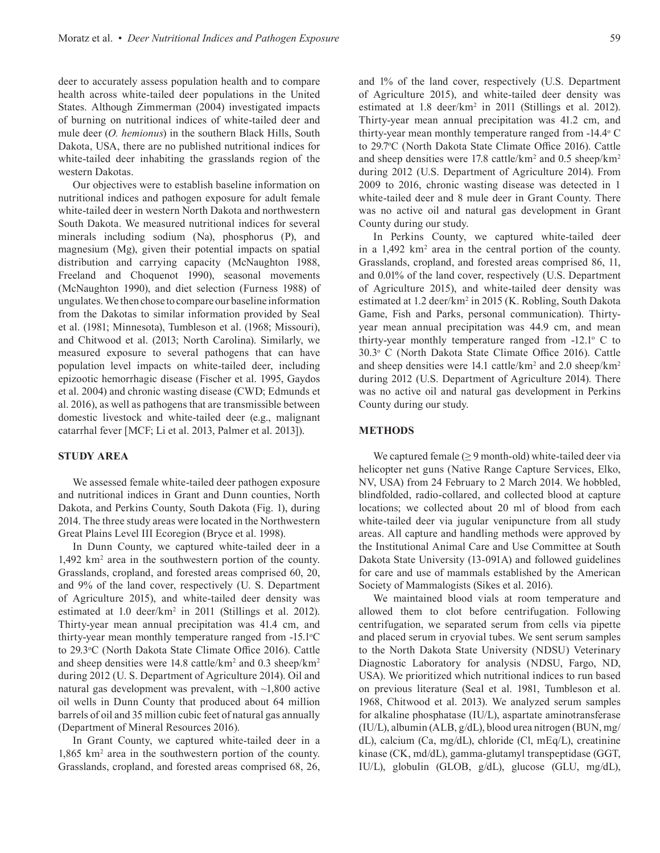deer to accurately assess population health and to compare health across white-tailed deer populations in the United States. Although Zimmerman (2004) investigated impacts of burning on nutritional indices of white-tailed deer and mule deer (*O. hemionus*) in the southern Black Hills, South Dakota, USA, there are no published nutritional indices for white-tailed deer inhabiting the grasslands region of the western Dakotas.

Our objectives were to establish baseline information on nutritional indices and pathogen exposure for adult female white-tailed deer in western North Dakota and northwestern South Dakota. We measured nutritional indices for several minerals including sodium (Na), phosphorus (P), and magnesium (Mg), given their potential impacts on spatial distribution and carrying capacity (McNaughton 1988, Freeland and Choquenot 1990), seasonal movements (McNaughton 1990), and diet selection (Furness 1988) of ungulates. We then chose to compare our baseline information from the Dakotas to similar information provided by Seal et al. (1981; Minnesota), Tumbleson et al. (1968; Missouri), and Chitwood et al. (2013; North Carolina). Similarly, we measured exposure to several pathogens that can have population level impacts on white-tailed deer, including epizootic hemorrhagic disease (Fischer et al. 1995, Gaydos et al. 2004) and chronic wasting disease (CWD; Edmunds et al. 2016), as well as pathogens that are transmissible between domestic livestock and white-tailed deer (e.g., malignant catarrhal fever [MCF; Li et al. 2013, Palmer et al. 2013]).

#### **STUDY AREA**

We assessed female white-tailed deer pathogen exposure and nutritional indices in Grant and Dunn counties, North Dakota, and Perkins County, South Dakota (Fig. 1), during 2014. The three study areas were located in the Northwestern Great Plains Level III Ecoregion (Bryce et al. 1998).

In Dunn County, we captured white-tailed deer in a 1,492 km2 area in the southwestern portion of the county. Grasslands, cropland, and forested areas comprised 60, 20, and 9% of the land cover, respectively (U. S. Department of Agriculture 2015), and white-tailed deer density was estimated at 1.0 deer/km<sup>2</sup> in 2011 (Stillings et al. 2012). Thirty-year mean annual precipitation was 41.4 cm, and thirty-year mean monthly temperature ranged from -15.1°C to 29.3°C (North Dakota State Climate Office 2016). Cattle and sheep densities were 14.8 cattle/km<sup>2</sup> and 0.3 sheep/km<sup>2</sup> during 2012 (U. S. Department of Agriculture 2014). Oil and natural gas development was prevalent, with ~1,800 active oil wells in Dunn County that produced about 64 million barrels of oil and 35 million cubic feet of natural gas annually (Department of Mineral Resources 2016).

In Grant County, we captured white-tailed deer in a 1,865 km2 area in the southwestern portion of the county. Grasslands, cropland, and forested areas comprised 68, 26,

and 1% of the land cover, respectively (U.S. Department of Agriculture 2015), and white-tailed deer density was estimated at 1.8 deer/km<sup>2</sup> in 2011 (Stillings et al. 2012). Thirty-year mean annual precipitation was 41.2 cm, and thirty-year mean monthly temperature ranged from -14.4° C to 29.7°C (North Dakota State Climate Office 2016). Cattle and sheep densities were 17.8 cattle/km<sup>2</sup> and 0.5 sheep/km<sup>2</sup> during 2012 (U.S. Department of Agriculture 2014). From 2009 to 2016, chronic wasting disease was detected in 1 white-tailed deer and 8 mule deer in Grant County. There was no active oil and natural gas development in Grant County during our study.

In Perkins County, we captured white-tailed deer in a 1,492 km<sup>2</sup> area in the central portion of the county. Grasslands, cropland, and forested areas comprised 86, 11, and 0.01% of the land cover, respectively (U.S. Department of Agriculture 2015), and white-tailed deer density was estimated at 1.2 deer/km<sup>2</sup> in 2015 (K. Robling, South Dakota Game, Fish and Parks, personal communication). Thirtyyear mean annual precipitation was 44.9 cm, and mean thirty-year monthly temperature ranged from  $-12.1^\circ$  C to 30.3o C (North Dakota State Climate Office 2016). Cattle and sheep densities were 14.1 cattle/km<sup>2</sup> and 2.0 sheep/km<sup>2</sup> during 2012 (U.S. Department of Agriculture 2014). There was no active oil and natural gas development in Perkins County during our study.

#### **METHODS**

We captured female  $(≥ 9$  month-old) white-tailed deer via helicopter net guns (Native Range Capture Services, Elko, NV, USA) from 24 February to 2 March 2014. We hobbled, blindfolded, radio-collared, and collected blood at capture locations; we collected about 20 ml of blood from each white-tailed deer via jugular venipuncture from all study areas. All capture and handling methods were approved by the Institutional Animal Care and Use Committee at South Dakota State University (13-091A) and followed guidelines for care and use of mammals established by the American Society of Mammalogists (Sikes et al. 2016).

We maintained blood vials at room temperature and allowed them to clot before centrifugation. Following centrifugation, we separated serum from cells via pipette and placed serum in cryovial tubes. We sent serum samples to the North Dakota State University (NDSU) Veterinary Diagnostic Laboratory for analysis (NDSU, Fargo, ND, USA). We prioritized which nutritional indices to run based on previous literature (Seal et al. 1981, Tumbleson et al. 1968, Chitwood et al. 2013). We analyzed serum samples for alkaline phosphatase (IU/L), aspartate aminotransferase (IU/L), albumin (ALB, g/dL), blood urea nitrogen (BUN, mg/ dL), calcium (Ca, mg/dL), chloride (Cl, mEq/L), creatinine kinase (CK, md/dL), gamma-glutamyl transpeptidase (GGT, IU/L), globulin (GLOB, g/dL), glucose (GLU, mg/dL),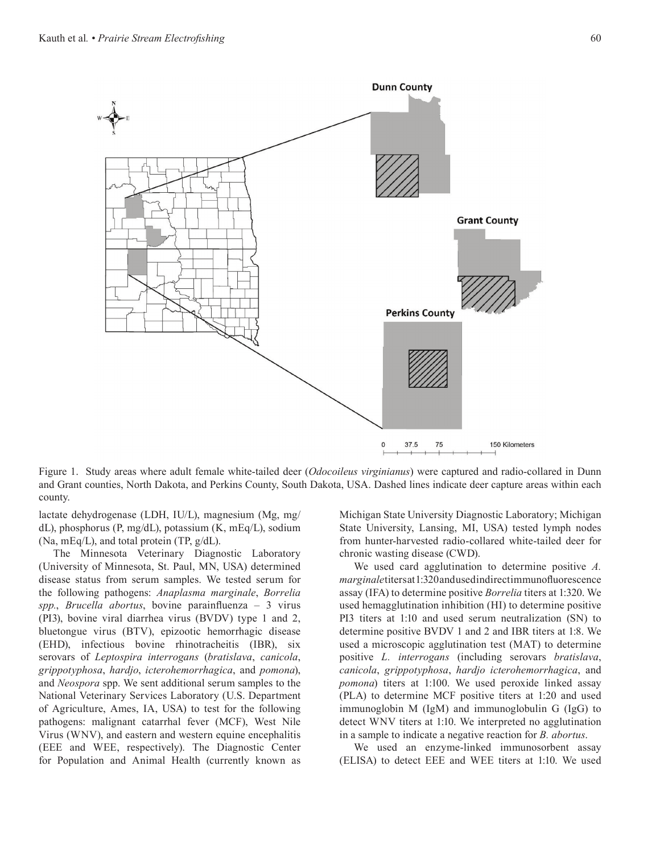

Figure 1. Study areas where adult female white-tailed deer (*Odocoileus virginianus*) were captured and radio-collared in Dunn and Grant counties, North Dakota, and Perkins County, South Dakota, USA. Dashed lines indicate deer capture areas within each county.

lactate dehydrogenase (LDH, IU/L), magnesium (Mg, mg/ dL), phosphorus (P, mg/dL), potassium (K, mEq/L), sodium (Na, mEq/L), and total protein (TP, g/dL).

The Minnesota Veterinary Diagnostic Laboratory (University of Minnesota, St. Paul, MN, USA) determined disease status from serum samples. We tested serum for the following pathogens: *Anaplasma marginale*, *Borrelia spp.*, *Brucella abortus*, bovine parainfluenza – 3 virus (PI3), bovine viral diarrhea virus (BVDV) type 1 and 2, bluetongue virus (BTV), epizootic hemorrhagic disease (EHD), infectious bovine rhinotracheitis (IBR), six serovars of *Leptospira interrogans* (*bratislava*, *canicola*, *grippotyphosa*, *hardjo*, *icterohemorrhagica*, and *pomona*), and *Neospora* spp. We sent additional serum samples to the National Veterinary Services Laboratory (U.S. Department of Agriculture, Ames, IA, USA) to test for the following pathogens: malignant catarrhal fever (MCF), West Nile Virus (WNV), and eastern and western equine encephalitis (EEE and WEE, respectively). The Diagnostic Center for Population and Animal Health (currently known as

Michigan State University Diagnostic Laboratory; Michigan State University, Lansing, MI, USA) tested lymph nodes from hunter-harvested radio-collared white-tailed deer for chronic wasting disease (CWD).

We used card agglutination to determine positive *A. marginale* titers at 1:320 and used indirect immunofluorescence assay (IFA) to determine positive *Borrelia* titers at 1:320. We used hemagglutination inhibition (HI) to determine positive PI3 titers at 1:10 and used serum neutralization (SN) to determine positive BVDV 1 and 2 and IBR titers at 1:8. We used a microscopic agglutination test (MAT) to determine positive *L. interrogans* (including serovars *bratislava*, *canicola*, *grippotyphosa*, *hardjo icterohemorrhagica*, and *pomona*) titers at 1:100. We used peroxide linked assay (PLA) to determine MCF positive titers at 1:20 and used immunoglobin M (IgM) and immunoglobulin G (IgG) to detect WNV titers at 1:10. We interpreted no agglutination in a sample to indicate a negative reaction for *B. abortus*.

We used an enzyme-linked immunosorbent assay (ELISA) to detect EEE and WEE titers at 1:10. We used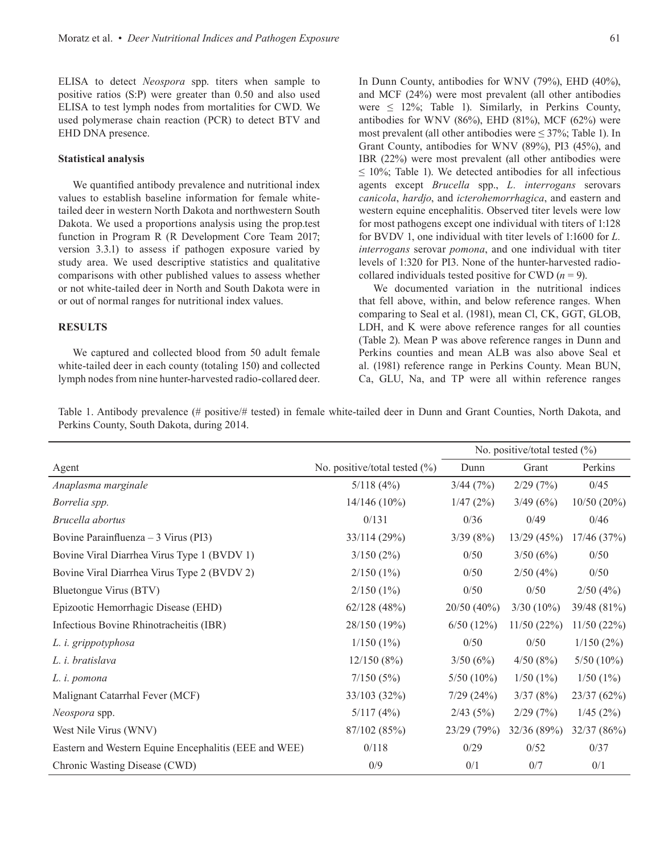ELISA to detect *Neospora* spp. titers when sample to positive ratios (S:P) were greater than 0.50 and also used ELISA to test lymph nodes from mortalities for CWD. We used polymerase chain reaction (PCR) to detect BTV and EHD DNA presence.

#### **Statistical analysis**

We quantified antibody prevalence and nutritional index values to establish baseline information for female whitetailed deer in western North Dakota and northwestern South Dakota. We used a proportions analysis using the prop.test function in Program R (R Development Core Team 2017; version 3.3.1) to assess if pathogen exposure varied by study area. We used descriptive statistics and qualitative comparisons with other published values to assess whether or not white-tailed deer in North and South Dakota were in or out of normal ranges for nutritional index values.

#### **RESULTS**

We captured and collected blood from 50 adult female white-tailed deer in each county (totaling 150) and collected lymph nodes from nine hunter-harvested radio-collared deer. In Dunn County, antibodies for WNV (79%), EHD (40%), and MCF (24%) were most prevalent (all other antibodies were  $\leq$  12%; Table 1). Similarly, in Perkins County, antibodies for WNV (86%), EHD (81%), MCF (62%) were most prevalent (all other antibodies were  $\leq$  37%; Table 1). In Grant County, antibodies for WNV (89%), PI3 (45%), and IBR (22%) were most prevalent (all other antibodies were  $\leq$  10%; Table 1). We detected antibodies for all infectious agents except *Brucella* spp., *L. interrogans* serovars *canicola*, *hardjo*, and *icterohemorrhagica*, and eastern and western equine encephalitis. Observed titer levels were low for most pathogens except one individual with titers of 1:128 for BVDV 1, one individual with titer levels of 1:1600 for *L. interrogans* serovar *pomona*, and one individual with titer levels of 1:320 for PI3. None of the hunter-harvested radiocollared individuals tested positive for CWD  $(n = 9)$ .

We documented variation in the nutritional indices that fell above, within, and below reference ranges. When comparing to Seal et al. (1981), mean Cl, CK, GGT, GLOB, LDH, and K were above reference ranges for all counties (Table 2). Mean P was above reference ranges in Dunn and Perkins counties and mean ALB was also above Seal et al. (1981) reference range in Perkins County. Mean BUN, Ca, GLU, Na, and TP were all within reference ranges

Table 1. Antibody prevalence (# positive/# tested) in female white-tailed deer in Dunn and Grant Counties, North Dakota, and Perkins County, South Dakota, during 2014.

|                                                       |                               | No. positive/total tested (%) |              |               |
|-------------------------------------------------------|-------------------------------|-------------------------------|--------------|---------------|
| Agent                                                 | No. positive/total tested (%) | Dunn                          | Grant        | Perkins       |
| Anaplasma marginale                                   | 5/118(4%)                     | 3/44(7%)                      | 2/29(7%)     | 0/45          |
| Borrelia spp.                                         | $14/146(10\%)$                | 1/47(2%)                      | 3/49(6%)     | $10/50(20\%)$ |
| Brucella abortus                                      | 0/131                         | 0/36                          | 0/49         | 0/46          |
| Bovine Parainfluenza $-3$ Virus (PI3)                 | 33/114 (29%)                  | 3/39(8%)                      | 13/29(45%)   | 17/46(37%)    |
| Bovine Viral Diarrhea Virus Type 1 (BVDV 1)           | 3/150(2%)                     | 0/50                          | 3/50(6%)     | 0/50          |
| Bovine Viral Diarrhea Virus Type 2 (BVDV 2)           | $2/150(1\%)$                  | 0/50                          | 2/50(4%)     | 0/50          |
| Bluetongue Virus (BTV)                                | $2/150(1\%)$                  | 0/50                          | 0/50         | 2/50(4%)      |
| Epizootic Hemorrhagic Disease (EHD)                   | 62/128(48%)                   | $20/50(40\%)$                 | $3/30(10\%)$ | 39/48 (81%)   |
| Infectious Bovine Rhinotracheitis (IBR)               | 28/150 (19%)                  | 6/50(12%)                     | 11/50(22%)   | 11/50(22%)    |
| L. i. grippotyphosa                                   | 1/150(1%)                     | 0/50                          | 0/50         | 1/150(2%)     |
| L. i. bratislava                                      | $12/150(8\%)$                 | 3/50(6%)                      | 4/50(8%)     | $5/50(10\%)$  |
| L. i. pomona                                          | 7/150(5%)                     | $5/50(10\%)$                  | 1/50(1%)     | 1/50(1%)      |
| Malignant Catarrhal Fever (MCF)                       | 33/103 (32%)                  | 7/29(24%)                     | 3/37(8%)     | 23/37(62%)    |
| Neospora spp.                                         | 5/117(4%)                     | 2/43(5%)                      | 2/29(7%)     | 1/45(2%)      |
| West Nile Virus (WNV)                                 | 87/102 (85%)                  | 23/29(79%)                    | 32/36(89%)   | 32/37 (86%)   |
| Eastern and Western Equine Encephalitis (EEE and WEE) | 0/118                         | 0/29                          | 0/52         | 0/37          |
| Chronic Wasting Disease (CWD)                         | 0/9                           | 0/1                           | 0/7          | 0/1           |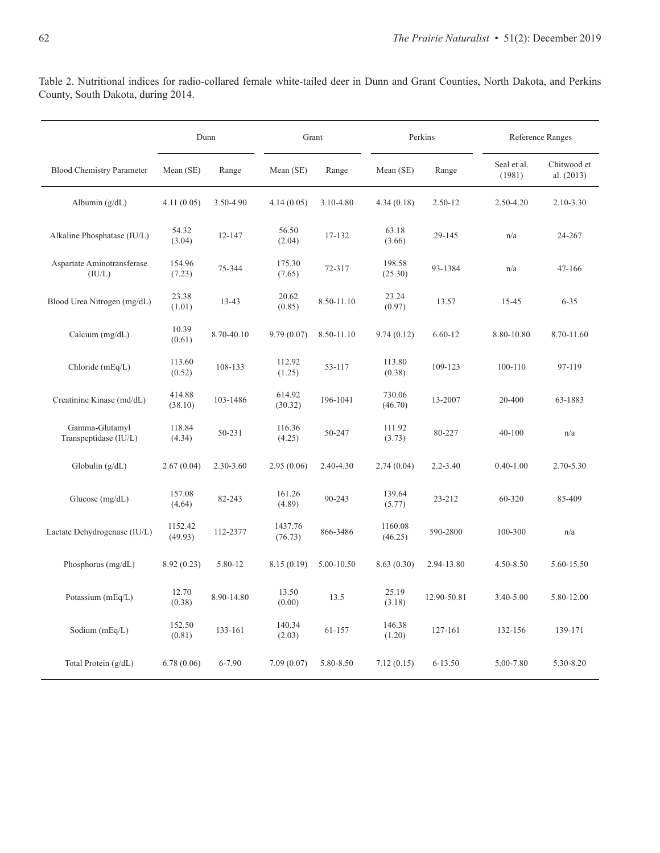Table 2. Nutritional indices for radio-collared female white-tailed deer in Dunn and Grant Counties, North Dakota, and Perkins County, South Dakota, during 2014.

|                                         | Dunn               |            | Grant              |            | Perkins            |              | Reference Ranges      |                           |
|-----------------------------------------|--------------------|------------|--------------------|------------|--------------------|--------------|-----------------------|---------------------------|
| <b>Blood Chemistry Parameter</b>        | Mean (SE)          | Range      | Mean (SE)          | Range      | Mean (SE)          | Range        | Seal et al.<br>(1981) | Chitwood et<br>al. (2013) |
| Albumin $(g/dL)$                        | 4.11(0.05)         | 3.50-4.90  | 4.14(0.05)         | 3.10-4.80  | 4.34(0.18)         | $2.50 - 12$  | 2.50-4.20             | $2.10 - 3.30$             |
| Alkaline Phosphatase (IU/L)             | 54.32<br>(3.04)    | 12-147     | 56.50<br>(2.04)    | 17-132     | 63.18<br>(3.66)    | 29-145       | n/a                   | 24-267                    |
| Aspartate Aminotransferase<br>(IU/L)    | 154.96<br>(7.23)   | 75-344     | 175.30<br>(7.65)   | 72-317     | 198.58<br>(25.30)  | 93-1384      | n/a                   | $47 - 166$                |
| Blood Urea Nitrogen (mg/dL)             | 23.38<br>(1.01)    | $13 - 43$  | 20.62<br>(0.85)    | 8.50-11.10 | 23.24<br>(0.97)    | 13.57        | $15 - 45$             | $6 - 35$                  |
| Calcium $(mg/dL)$                       | 10.39<br>(0.61)    | 8.70-40.10 | 9.79(0.07)         | 8.50-11.10 | 9.74(0.12)         | $6.60 - 12$  | 8.80-10.80            | 8.70-11.60                |
| Chloride (mEq/L)                        | 113.60<br>(0.52)   | 108-133    | 112.92<br>(1.25)   | 53-117     | 113.80<br>(0.38)   | 109-123      | 100-110               | 97-119                    |
| Creatinine Kinase (md/dL)               | 414.88<br>(38.10)  | 103-1486   | 614.92<br>(30.32)  | 196-1041   | 730.06<br>(46.70)  | 13-2007      | 20-400                | 63-1883                   |
| Gamma-Glutamyl<br>Transpeptidase (IU/L) | 118.84<br>(4.34)   | 50-231     | 116.36<br>(4.25)   | 50-247     | 111.92<br>(3.73)   | 80-227       | $40 - 100$            | n/a                       |
| Globulin $(g/dL)$                       | 2.67(0.04)         | 2.30-3.60  | 2.95(0.06)         | 2.40-4.30  | 2.74(0.04)         | $2.2 - 3.40$ | $0.40 - 1.00$         | 2.70-5.30                 |
| Glucose $(mg/dL)$                       | 157.08<br>(4.64)   | 82-243     | 161.26<br>(4.89)   | 90-243     | 139.64<br>(5.77)   | 23-212       | 60-320                | 85-409                    |
| Lactate Dehydrogenase (IU/L)            | 1152.42<br>(49.93) | 112-2377   | 1437.76<br>(76.73) | 866-3486   | 1160.08<br>(46.25) | 590-2800     | 100-300               | n/a                       |
| Phosphorus (mg/dL)                      | 8.92(0.23)         | 5.80-12    | 8.15(0.19)         | 5.00-10.50 | 8.63(0.30)         | 2.94-13.80   | 4.50-8.50             | 5.60-15.50                |
| Potassium (mEq/L)                       | 12.70<br>(0.38)    | 8.90-14.80 | 13.50<br>(0.00)    | 13.5       | 25.19<br>(3.18)    | 12.90-50.81  | 3.40-5.00             | 5.80-12.00                |
| Sodium (mEq/L)                          | 152.50<br>(0.81)   | 133-161    | 140.34<br>(2.03)   | 61-157     | 146.38<br>(1.20)   | 127-161      | 132-156               | 139-171                   |
| Total Protein $(g/dL)$                  | 6.78(0.06)         | $6 - 7.90$ | 7.09(0.07)         | 5.80-8.50  | 7.12(0.15)         | $6 - 13.50$  | 5.00-7.80             | 5.30-8.20                 |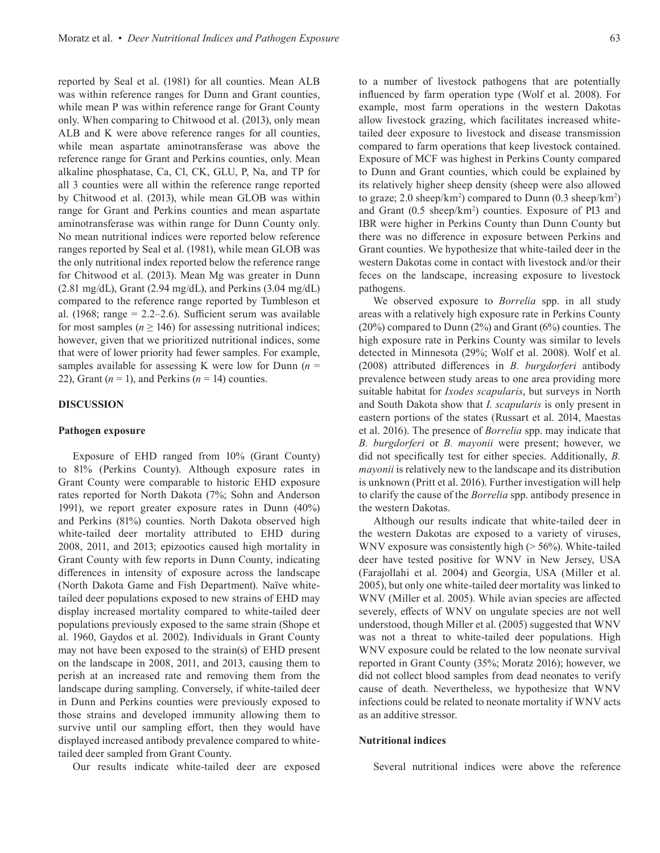reported by Seal et al. (1981) for all counties. Mean ALB was within reference ranges for Dunn and Grant counties, while mean P was within reference range for Grant County only. When comparing to Chitwood et al. (2013), only mean ALB and K were above reference ranges for all counties, while mean aspartate aminotransferase was above the reference range for Grant and Perkins counties, only. Mean alkaline phosphatase, Ca, Cl, CK, GLU, P, Na, and TP for all 3 counties were all within the reference range reported by Chitwood et al. (2013), while mean GLOB was within range for Grant and Perkins counties and mean aspartate aminotransferase was within range for Dunn County only. No mean nutritional indices were reported below reference ranges reported by Seal et al. (1981), while mean GLOB was the only nutritional index reported below the reference range for Chitwood et al. (2013). Mean Mg was greater in Dunn  $(2.81 \text{ mg/dL})$ , Grant  $(2.94 \text{ mg/dL})$ , and Perkins  $(3.04 \text{ mg/dL})$ compared to the reference range reported by Tumbleson et al. (1968; range  $= 2.2 - 2.6$ ). Sufficient serum was available for most samples ( $n \ge 146$ ) for assessing nutritional indices; however, given that we prioritized nutritional indices, some that were of lower priority had fewer samples. For example, samples available for assessing K were low for Dunn  $(n =$ 22), Grant  $(n = 1)$ , and Perkins  $(n = 14)$  counties.

#### **DISCUSSION**

#### **Pathogen exposure**

Exposure of EHD ranged from 10% (Grant County) to 81% (Perkins County). Although exposure rates in Grant County were comparable to historic EHD exposure rates reported for North Dakota (7%; Sohn and Anderson 1991), we report greater exposure rates in Dunn (40%) and Perkins (81%) counties. North Dakota observed high white-tailed deer mortality attributed to EHD during 2008, 2011, and 2013; epizootics caused high mortality in Grant County with few reports in Dunn County, indicating differences in intensity of exposure across the landscape (North Dakota Game and Fish Department). Naïve whitetailed deer populations exposed to new strains of EHD may display increased mortality compared to white-tailed deer populations previously exposed to the same strain (Shope et al. 1960, Gaydos et al. 2002). Individuals in Grant County may not have been exposed to the strain(s) of EHD present on the landscape in 2008, 2011, and 2013, causing them to perish at an increased rate and removing them from the landscape during sampling. Conversely, if white-tailed deer in Dunn and Perkins counties were previously exposed to those strains and developed immunity allowing them to survive until our sampling effort, then they would have displayed increased antibody prevalence compared to whitetailed deer sampled from Grant County.

Our results indicate white-tailed deer are exposed

to a number of livestock pathogens that are potentially influenced by farm operation type (Wolf et al. 2008). For example, most farm operations in the western Dakotas allow livestock grazing, which facilitates increased whitetailed deer exposure to livestock and disease transmission compared to farm operations that keep livestock contained. Exposure of MCF was highest in Perkins County compared to Dunn and Grant counties, which could be explained by its relatively higher sheep density (sheep were also allowed to graze; 2.0 sheep/km<sup>2</sup>) compared to Dunn (0.3 sheep/km<sup>2</sup>) and Grant (0.5 sheep/km<sup>2</sup>) counties. Exposure of PI3 and IBR were higher in Perkins County than Dunn County but there was no difference in exposure between Perkins and Grant counties. We hypothesize that white-tailed deer in the western Dakotas come in contact with livestock and/or their feces on the landscape, increasing exposure to livestock pathogens.

We observed exposure to *Borrelia* spp. in all study areas with a relatively high exposure rate in Perkins County (20%) compared to Dunn (2%) and Grant (6%) counties. The high exposure rate in Perkins County was similar to levels detected in Minnesota (29%; Wolf et al. 2008). Wolf et al. (2008) attributed differences in *B. burgdorferi* antibody prevalence between study areas to one area providing more suitable habitat for *Ixodes scapularis*, but surveys in North and South Dakota show that *I. scapularis* is only present in eastern portions of the states (Russart et al. 2014, Maestas et al. 2016). The presence of *Borrelia* spp. may indicate that *B. burgdorferi* or *B. mayonii* were present; however, we did not specifically test for either species. Additionally, *B. mayonii* is relatively new to the landscape and its distribution is unknown (Pritt et al. 2016). Further investigation will help to clarify the cause of the *Borrelia* spp. antibody presence in the western Dakotas.

Although our results indicate that white-tailed deer in the western Dakotas are exposed to a variety of viruses, WNV exposure was consistently high (> 56%). White-tailed deer have tested positive for WNV in New Jersey, USA (Farajollahi et al. 2004) and Georgia, USA (Miller et al. 2005), but only one white-tailed deer mortality was linked to WNV (Miller et al. 2005). While avian species are affected severely, effects of WNV on ungulate species are not well understood, though Miller et al. (2005) suggested that WNV was not a threat to white-tailed deer populations. High WNV exposure could be related to the low neonate survival reported in Grant County (35%; Moratz 2016); however, we did not collect blood samples from dead neonates to verify cause of death. Nevertheless, we hypothesize that WNV infections could be related to neonate mortality if WNV acts as an additive stressor.

#### **Nutritional indices**

Several nutritional indices were above the reference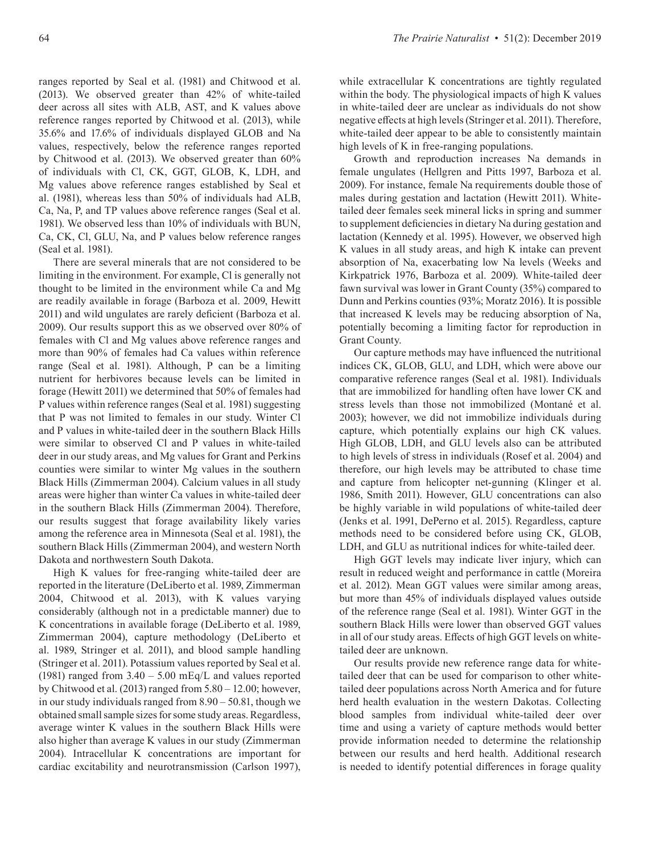ranges reported by Seal et al. (1981) and Chitwood et al. (2013). We observed greater than 42% of white-tailed deer across all sites with ALB, AST, and K values above reference ranges reported by Chitwood et al. (2013), while 35.6% and 17.6% of individuals displayed GLOB and Na values, respectively, below the reference ranges reported by Chitwood et al. (2013). We observed greater than 60% of individuals with Cl, CK, GGT, GLOB, K, LDH, and Mg values above reference ranges established by Seal et al. (1981), whereas less than 50% of individuals had ALB, Ca, Na, P, and TP values above reference ranges (Seal et al. 1981). We observed less than 10% of individuals with BUN, Ca, CK, Cl, GLU, Na, and P values below reference ranges (Seal et al. 1981).

There are several minerals that are not considered to be limiting in the environment. For example, Cl is generally not thought to be limited in the environment while Ca and Mg are readily available in forage (Barboza et al. 2009, Hewitt 2011) and wild ungulates are rarely deficient (Barboza et al. 2009). Our results support this as we observed over 80% of females with Cl and Mg values above reference ranges and more than 90% of females had Ca values within reference range (Seal et al. 1981). Although, P can be a limiting nutrient for herbivores because levels can be limited in forage (Hewitt 2011) we determined that 50% of females had P values within reference ranges (Seal et al. 1981) suggesting that P was not limited to females in our study. Winter Cl and P values in white-tailed deer in the southern Black Hills were similar to observed Cl and P values in white-tailed deer in our study areas, and Mg values for Grant and Perkins counties were similar to winter Mg values in the southern Black Hills (Zimmerman 2004). Calcium values in all study areas were higher than winter Ca values in white-tailed deer in the southern Black Hills (Zimmerman 2004). Therefore, our results suggest that forage availability likely varies among the reference area in Minnesota (Seal et al. 1981), the southern Black Hills (Zimmerman 2004), and western North Dakota and northwestern South Dakota.

High K values for free-ranging white-tailed deer are reported in the literature (DeLiberto et al. 1989, Zimmerman 2004, Chitwood et al. 2013), with K values varying considerably (although not in a predictable manner) due to K concentrations in available forage (DeLiberto et al. 1989, Zimmerman 2004), capture methodology (DeLiberto et al. 1989, Stringer et al. 2011), and blood sample handling (Stringer et al. 2011). Potassium values reported by Seal et al. (1981) ranged from  $3.40 - 5.00$  mEq/L and values reported by Chitwood et al. (2013) ranged from 5.80 – 12.00; however, in our study individuals ranged from 8.90 – 50.81, though we obtained small sample sizes for some study areas. Regardless, average winter K values in the southern Black Hills were also higher than average K values in our study (Zimmerman 2004). Intracellular K concentrations are important for cardiac excitability and neurotransmission (Carlson 1997),

while extracellular K concentrations are tightly regulated within the body. The physiological impacts of high K values in white-tailed deer are unclear as individuals do not show negative effects at high levels (Stringer et al. 2011). Therefore, white-tailed deer appear to be able to consistently maintain high levels of K in free-ranging populations.

Growth and reproduction increases Na demands in female ungulates (Hellgren and Pitts 1997, Barboza et al. 2009). For instance, female Na requirements double those of males during gestation and lactation (Hewitt 2011). Whitetailed deer females seek mineral licks in spring and summer to supplement deficiencies in dietary Na during gestation and lactation (Kennedy et al. 1995). However, we observed high K values in all study areas, and high K intake can prevent absorption of Na, exacerbating low Na levels (Weeks and Kirkpatrick 1976, Barboza et al. 2009). White-tailed deer fawn survival was lower in Grant County (35%) compared to Dunn and Perkins counties (93%; Moratz 2016). It is possible that increased K levels may be reducing absorption of Na, potentially becoming a limiting factor for reproduction in Grant County.

Our capture methods may have influenced the nutritional indices CK, GLOB, GLU, and LDH, which were above our comparative reference ranges (Seal et al. 1981). Individuals that are immobilized for handling often have lower CK and stress levels than those not immobilized (Montané et al. 2003); however, we did not immobilize individuals during capture, which potentially explains our high CK values. High GLOB, LDH, and GLU levels also can be attributed to high levels of stress in individuals (Rosef et al. 2004) and therefore, our high levels may be attributed to chase time and capture from helicopter net-gunning (Klinger et al. 1986, Smith 2011). However, GLU concentrations can also be highly variable in wild populations of white-tailed deer (Jenks et al. 1991, DePerno et al. 2015). Regardless, capture methods need to be considered before using CK, GLOB, LDH, and GLU as nutritional indices for white-tailed deer.

High GGT levels may indicate liver injury, which can result in reduced weight and performance in cattle (Moreira et al. 2012). Mean GGT values were similar among areas, but more than 45% of individuals displayed values outside of the reference range (Seal et al. 1981). Winter GGT in the southern Black Hills were lower than observed GGT values in all of our study areas. Effects of high GGT levels on whitetailed deer are unknown.

Our results provide new reference range data for whitetailed deer that can be used for comparison to other whitetailed deer populations across North America and for future herd health evaluation in the western Dakotas. Collecting blood samples from individual white-tailed deer over time and using a variety of capture methods would better provide information needed to determine the relationship between our results and herd health. Additional research is needed to identify potential differences in forage quality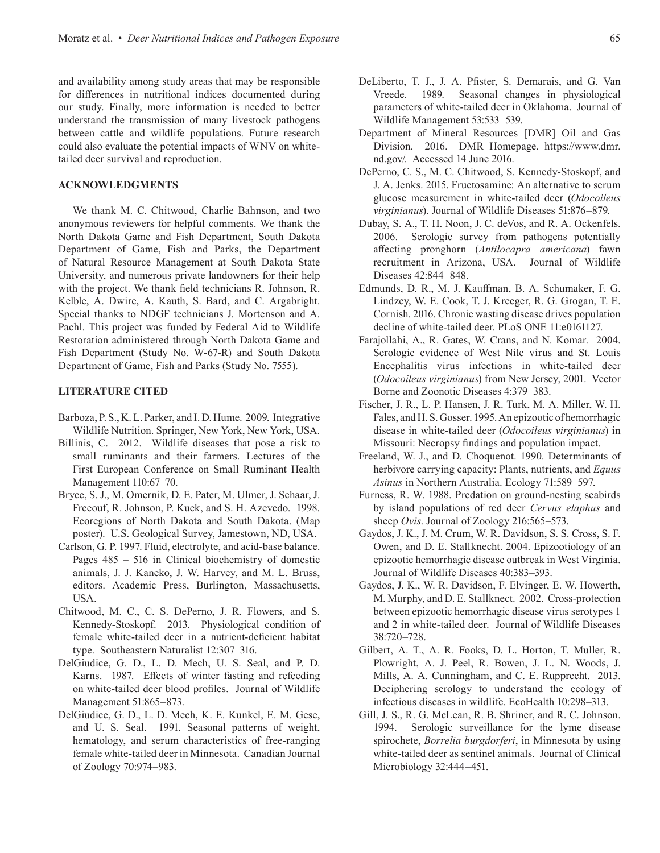and availability among study areas that may be responsible for differences in nutritional indices documented during our study. Finally, more information is needed to better understand the transmission of many livestock pathogens between cattle and wildlife populations. Future research could also evaluate the potential impacts of WNV on whitetailed deer survival and reproduction.

#### **ACKNOWLEDGMENTS**

We thank M. C. Chitwood, Charlie Bahnson, and two anonymous reviewers for helpful comments. We thank the North Dakota Game and Fish Department, South Dakota Department of Game, Fish and Parks, the Department of Natural Resource Management at South Dakota State University, and numerous private landowners for their help with the project. We thank field technicians R. Johnson, R. Kelble, A. Dwire, A. Kauth, S. Bard, and C. Argabright. Special thanks to NDGF technicians J. Mortenson and A. Pachl. This project was funded by Federal Aid to Wildlife Restoration administered through North Dakota Game and Fish Department (Study No. W-67-R) and South Dakota Department of Game, Fish and Parks (Study No. 7555).

#### **LITERATURE CITED**

- Barboza, P. S., K. L. Parker, and I. D. Hume. 2009. Integrative Wildlife Nutrition. Springer, New York, New York, USA.
- Billinis, C. 2012. Wildlife diseases that pose a risk to small ruminants and their farmers. Lectures of the First European Conference on Small Ruminant Health Management 110:67–70.
- Bryce, S. J., M. Omernik, D. E. Pater, M. Ulmer, J. Schaar, J. Freeouf, R. Johnson, P. Kuck, and S. H. Azevedo. 1998. Ecoregions of North Dakota and South Dakota. (Map poster). U.S. Geological Survey, Jamestown, ND, USA.
- Carlson, G. P. 1997. Fluid, electrolyte, and acid-base balance. Pages 485 – 516 in Clinical biochemistry of domestic animals, J. J. Kaneko, J. W. Harvey, and M. L. Bruss, editors. Academic Press, Burlington, Massachusetts, USA.
- Chitwood, M. C., C. S. DePerno, J. R. Flowers, and S. Kennedy-Stoskopf. 2013. Physiological condition of female white-tailed deer in a nutrient-deficient habitat type. Southeastern Naturalist 12:307–316.
- DelGiudice, G. D., L. D. Mech, U. S. Seal, and P. D. Karns. 1987. Effects of winter fasting and refeeding on white-tailed deer blood profiles. Journal of Wildlife Management 51:865–873.
- DelGiudice, G. D., L. D. Mech, K. E. Kunkel, E. M. Gese, and U. S. Seal. 1991. Seasonal patterns of weight, hematology, and serum characteristics of free-ranging female white-tailed deer in Minnesota. Canadian Journal of Zoology 70:974–983.
- DeLiberto, T. J., J. A. Pfister, S. Demarais, and G. Van Vreede. 1989. Seasonal changes in physiological parameters of white-tailed deer in Oklahoma. Journal of Wildlife Management 53:533–539.
- Department of Mineral Resources [DMR] Oil and Gas Division. 2016. DMR Homepage. https://www.dmr. nd.gov/. Accessed 14 June 2016.
- DePerno, C. S., M. C. Chitwood, S. Kennedy-Stoskopf, and J. A. Jenks. 2015. Fructosamine: An alternative to serum glucose measurement in white-tailed deer (*Odocoileus virginianus*). Journal of Wildlife Diseases 51:876–879.
- Dubay, S. A., T. H. Noon, J. C. deVos, and R. A. Ockenfels. 2006. Serologic survey from pathogens potentially affecting pronghorn (*Antilocapra americana*) fawn recruitment in Arizona, USA. Journal of Wildlife Diseases 42:844–848.
- Edmunds, D. R., M. J. Kauffman, B. A. Schumaker, F. G. Lindzey, W. E. Cook, T. J. Kreeger, R. G. Grogan, T. E. Cornish. 2016. Chronic wasting disease drives population decline of white-tailed deer. PLoS ONE 11:e0161127.
- Farajollahi, A., R. Gates, W. Crans, and N. Komar. 2004. Serologic evidence of West Nile virus and St. Louis Encephalitis virus infections in white-tailed deer (*Odocoileus virginianus*) from New Jersey, 2001. Vector Borne and Zoonotic Diseases 4:379–383.
- Fischer, J. R., L. P. Hansen, J. R. Turk, M. A. Miller, W. H. Fales, and H. S. Gosser. 1995. An epizootic of hemorrhagic disease in white-tailed deer (*Odocoileus virginianus*) in Missouri: Necropsy findings and population impact.
- Freeland, W. J., and D. Choquenot. 1990. Determinants of herbivore carrying capacity: Plants, nutrients, and *Equus Asinus* in Northern Australia. Ecology 71:589–597.
- Furness, R. W. 1988. Predation on ground-nesting seabirds by island populations of red deer *Cervus elaphus* and sheep *Ovis*. Journal of Zoology 216:565–573.
- Gaydos, J. K., J. M. Crum, W. R. Davidson, S. S. Cross, S. F. Owen, and D. E. Stallknecht. 2004. Epizootiology of an epizootic hemorrhagic disease outbreak in West Virginia. Journal of Wildlife Diseases 40:383–393.
- Gaydos, J. K., W. R. Davidson, F. Elvinger, E. W. Howerth, M. Murphy, and D. E. Stallknect. 2002. Cross-protection between epizootic hemorrhagic disease virus serotypes 1 and 2 in white-tailed deer. Journal of Wildlife Diseases 38:720–728.
- Gilbert, A. T., A. R. Fooks, D. L. Horton, T. Muller, R. Plowright, A. J. Peel, R. Bowen, J. L. N. Woods, J. Mills, A. A. Cunningham, and C. E. Rupprecht. 2013. Deciphering serology to understand the ecology of infectious diseases in wildlife. EcoHealth 10:298–313.
- Gill, J. S., R. G. McLean, R. B. Shriner, and R. C. Johnson. 1994. Serologic surveillance for the lyme disease spirochete, *Borrelia burgdorferi*, in Minnesota by using white-tailed deer as sentinel animals. Journal of Clinical Microbiology 32:444–451.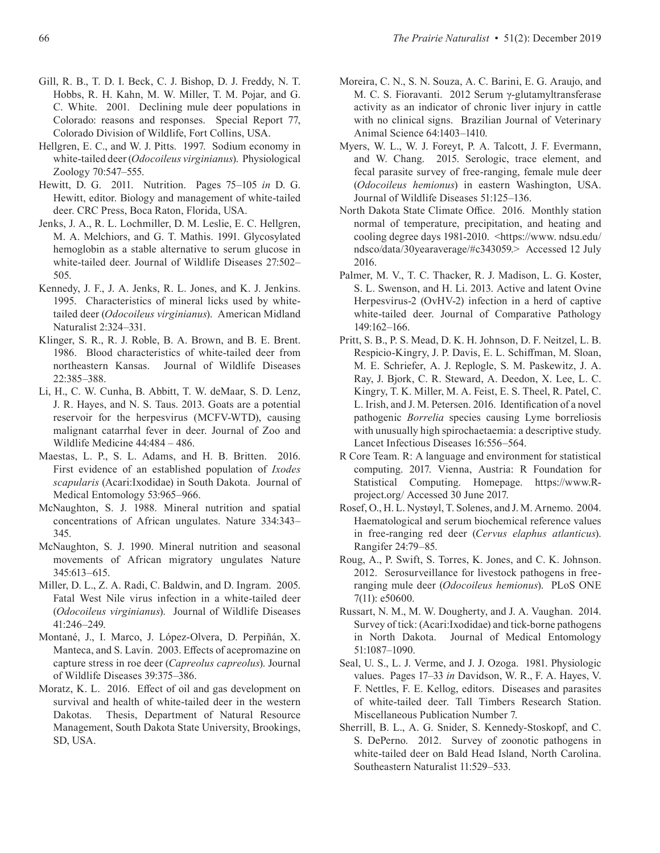- Gill, R. B., T. D. I. Beck, C. J. Bishop, D. J. Freddy, N. T. Hobbs, R. H. Kahn, M. W. Miller, T. M. Pojar, and G. C. White. 2001. Declining mule deer populations in Colorado: reasons and responses. Special Report 77, Colorado Division of Wildlife, Fort Collins, USA.
- Hellgren, E. C., and W. J. Pitts. 1997. Sodium economy in white-tailed deer (*Odocoileus virginianus*). Physiological Zoology 70:547–555.
- Hewitt, D. G. 2011. Nutrition. Pages 75–105 *in* D. G. Hewitt, editor. Biology and management of white-tailed deer. CRC Press, Boca Raton, Florida, USA.
- Jenks, J. A., R. L. Lochmiller, D. M. Leslie, E. C. Hellgren, M. A. Melchiors, and G. T. Mathis. 1991. Glycosylated hemoglobin as a stable alternative to serum glucose in white-tailed deer. Journal of Wildlife Diseases 27:502– 505.
- Kennedy, J. F., J. A. Jenks, R. L. Jones, and K. J. Jenkins. 1995. Characteristics of mineral licks used by whitetailed deer (*Odocoileus virginianus*). American Midland Naturalist 2:324–331.
- Klinger, S. R., R. J. Roble, B. A. Brown, and B. E. Brent. 1986. Blood characteristics of white-tailed deer from northeastern Kansas. Journal of Wildlife Diseases 22:385–388.
- Li, H., C. W. Cunha, B. Abbitt, T. W. deMaar, S. D. Lenz, J. R. Hayes, and N. S. Taus. 2013. Goats are a potential reservoir for the herpesvirus (MCFV-WTD), causing malignant catarrhal fever in deer. Journal of Zoo and Wildlife Medicine 44:484 – 486.
- Maestas, L. P., S. L. Adams, and H. B. Britten. 2016. First evidence of an established population of *Ixodes scapularis* (Acari:Ixodidae) in South Dakota. Journal of Medical Entomology 53:965–966.
- McNaughton, S. J. 1988. Mineral nutrition and spatial concentrations of African ungulates. Nature 334:343– 345.
- McNaughton, S. J. 1990. Mineral nutrition and seasonal movements of African migratory ungulates Nature 345:613–615.
- Miller, D. L., Z. A. Radi, C. Baldwin, and D. Ingram. 2005. Fatal West Nile virus infection in a white-tailed deer (*Odocoileus virginianus*). Journal of Wildlife Diseases 41:246–249.
- Montané, J., I. Marco, J. López-Olvera, D. Perpiñán, X. Manteca, and S. Lavín. 2003. Effects of acepromazine on capture stress in roe deer (*Capreolus capreolus*). Journal of Wildlife Diseases 39:375–386.
- Moratz, K. L. 2016. Effect of oil and gas development on survival and health of white-tailed deer in the western Dakotas. Thesis, Department of Natural Resource Management, South Dakota State University, Brookings, SD, USA.
- Moreira, C. N., S. N. Souza, A. C. Barini, E. G. Araujo, and M. C. S. Fioravanti. 2012 Serum γ-glutamyltransferase activity as an indicator of chronic liver injury in cattle with no clinical signs. Brazilian Journal of Veterinary Animal Science 64:1403–1410.
- Myers, W. L., W. J. Foreyt, P. A. Talcott, J. F. Evermann, and W. Chang. 2015. Serologic, trace element, and fecal parasite survey of free-ranging, female mule deer (*Odocoileus hemionus*) in eastern Washington, USA. Journal of Wildlife Diseases 51:125–136.
- North Dakota State Climate Office. 2016. Monthly station normal of temperature, precipitation, and heating and cooling degree days 1981-2010. <https://www. ndsu.edu/ ndsco/data/30yearaverage/#c343059.> Accessed 12 July 2016.
- Palmer, M. V., T. C. Thacker, R. J. Madison, L. G. Koster, S. L. Swenson, and H. Li. 2013. Active and latent Ovine Herpesvirus-2 (OvHV-2) infection in a herd of captive white-tailed deer. Journal of Comparative Pathology 149:162–166.
- Pritt, S. B., P. S. Mead, D. K. H. Johnson, D. F. Neitzel, L. B. Respicio-Kingry, J. P. Davis, E. L. Schiffman, M. Sloan, M. E. Schriefer, A. J. Replogle, S. M. Paskewitz, J. A. Ray, J. Bjork, C. R. Steward, A. Deedon, X. Lee, L. C. Kingry, T. K. Miller, M. A. Feist, E. S. Theel, R. Patel, C. L. Irish, and J. M. Petersen. 2016. Identification of a novel pathogenic *Borrelia* species causing Lyme borreliosis with unusually high spirochaetaemia: a descriptive study. Lancet Infectious Diseases 16:556–564.
- R Core Team. R: A language and environment for statistical computing. 2017. Vienna, Austria: R Foundation for Statistical Computing. Homepage. https://www.Rproject.org/ Accessed 30 June 2017.
- Rosef, O., H. L. Nystøyl, T. Solenes, and J. M. Arnemo. 2004. Haematological and serum biochemical reference values in free-ranging red deer (*Cervus elaphus atlanticus*). Rangifer 24:79–85.
- Roug, A., P. Swift, S. Torres, K. Jones, and C. K. Johnson. 2012. Serosurveillance for livestock pathogens in freeranging mule deer (*Odocoileus hemionus*). PLoS ONE 7(11): e50600.
- Russart, N. M., M. W. Dougherty, and J. A. Vaughan. 2014. Survey of tick: (Acari:Ixodidae) and tick-borne pathogens in North Dakota. Journal of Medical Entomology 51:1087–1090.
- Seal, U. S., L. J. Verme, and J. J. Ozoga. 1981. Physiologic values. Pages 17–33 *in* Davidson, W. R., F. A. Hayes, V. F. Nettles, F. E. Kellog, editors. Diseases and parasites of white-tailed deer. Tall Timbers Research Station. Miscellaneous Publication Number 7.
- Sherrill, B. L., A. G. Snider, S. Kennedy-Stoskopf, and C. S. DePerno. 2012. Survey of zoonotic pathogens in white-tailed deer on Bald Head Island, North Carolina. Southeastern Naturalist 11:529–533.